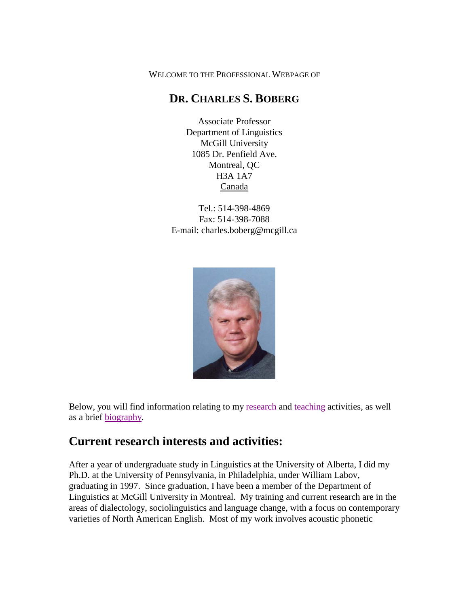WELCOME TO THE PROFESSIONAL WEBPAGE OF

### **DR. CHARLES S. BOBERG**

Associate Professor Department of Linguistics McGill University 1085 Dr. Penfield Ave. Montreal, QC H3A 1A7 Canada

Tel.: 514-398-4869 Fax: 514-398-7088 E-mail: charles.boberg@mcgill.ca



Below, you will find information relating to my [research](#page-0-0) and [teaching](#page-2-0) activities, as well as a brief [biography.](#page-4-0)

## <span id="page-0-0"></span>**Current research interests and activities:**

After a year of undergraduate study in Linguistics at the University of Alberta, I did my Ph.D. at the University of Pennsylvania, in Philadelphia, under William Labov, graduating in 1997. Since graduation, I have been a member of the Department of Linguistics at McGill University in Montreal. My training and current research are in the areas of dialectology, sociolinguistics and language change, with a focus on contemporary varieties of North American English. Most of my work involves acoustic phonetic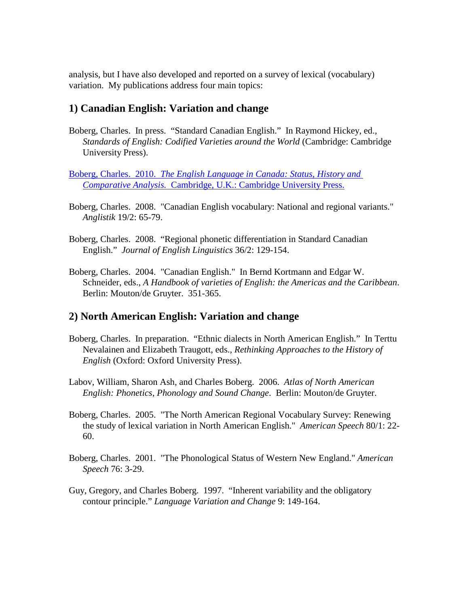analysis, but I have also developed and reported on a survey of lexical (vocabulary) variation. My publications address four main topics:

#### **1) Canadian English: Variation and change**

- Boberg, Charles. In press. "Standard Canadian English." In Raymond Hickey, ed., *Standards of English: Codified Varieties around the World* (Cambridge: Cambridge University Press).
- Boberg, Charles. 2010. *[The English Language in Canada: Status, History and](http://www.cambridge.org/us/catalogue/catalogue.asp?isbn=9780521874328)  Comparative Analysis.* [Cambridge, U.K.: Cambridge University Press.](http://www.cambridge.org/us/catalogue/catalogue.asp?isbn=9780521874328)
- Boberg, Charles. 2008. "Canadian English vocabulary: National and regional variants." *Anglistik* 19/2: 65-79.
- Boberg, Charles. 2008. "Regional phonetic differentiation in Standard Canadian English." *Journal of English Linguistics* 36/2: 129-154.
- Boberg, Charles. 2004. "Canadian English." In Bernd Kortmann and Edgar W. Schneider, eds., *A Handbook of varieties of English: the Americas and the Caribbean*. Berlin: Mouton/de Gruyter. 351-365.

#### **2) North American English: Variation and change**

- Boberg, Charles. In preparation. "Ethnic dialects in North American English." In Terttu Nevalainen and Elizabeth Traugott, eds., *Rethinking Approaches to the History of English* (Oxford: Oxford University Press).
- Labov, William, Sharon Ash, and Charles Boberg. 2006. *Atlas of North American English: Phonetics, Phonology and Sound Change*. Berlin: Mouton/de Gruyter.
- Boberg, Charles. 2005. "The North American Regional Vocabulary Survey: Renewing the study of lexical variation in North American English." *American Speech* 80/1: 22- 60.
- Boberg, Charles. 2001. "The Phonological Status of Western New England." *American Speech* 76: 3-29.
- Guy, Gregory, and Charles Boberg. 1997. "Inherent variability and the obligatory contour principle." *Language Variation and Change* 9: 149-164.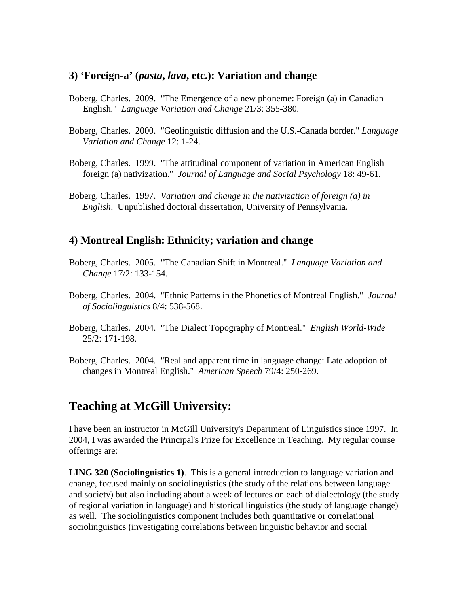#### **3) 'Foreign-a' (***pasta***,** *lava***, etc.): Variation and change**

- Boberg, Charles. 2009. "The Emergence of a new phoneme: Foreign (a) in Canadian English." *Language Variation and Change* 21/3: 355-380.
- Boberg, Charles. 2000. "Geolinguistic diffusion and the U.S.-Canada border." *Language Variation and Change* 12: 1-24.
- Boberg, Charles. 1999. "The attitudinal component of variation in American English foreign (a) nativization." *Journal of Language and Social Psychology* 18: 49-61.
- Boberg, Charles. 1997. *Variation and change in the nativization of foreign (a) in English*. Unpublished doctoral dissertation, University of Pennsylvania.

#### **4) Montreal English: Ethnicity; variation and change**

- Boberg, Charles. 2005. "The Canadian Shift in Montreal." *Language Variation and Change* 17/2: 133-154.
- Boberg, Charles. 2004. "Ethnic Patterns in the Phonetics of Montreal English." *Journal of Sociolinguistics* 8/4: 538-568.
- Boberg, Charles. 2004. "The Dialect Topography of Montreal." *English World-Wide* 25/2: 171-198.
- Boberg, Charles. 2004. "Real and apparent time in language change: Late adoption of changes in Montreal English." *American Speech* 79/4: 250-269.

### <span id="page-2-0"></span>**Teaching at McGill University:**

I have been an instructor in McGill University's Department of Linguistics since 1997. In 2004, I was awarded the Principal's Prize for Excellence in Teaching. My regular course offerings are:

**LING 320 (Sociolinguistics 1)**. This is a general introduction to language variation and change, focused mainly on sociolinguistics (the study of the relations between language and society) but also including about a week of lectures on each of dialectology (the study of regional variation in language) and historical linguistics (the study of language change) as well. The sociolinguistics component includes both quantitative or correlational sociolinguistics (investigating correlations between linguistic behavior and social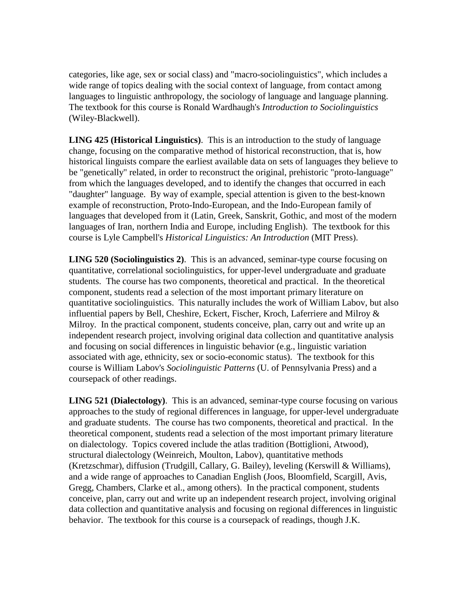categories, like age, sex or social class) and "macro-sociolinguistics", which includes a wide range of topics dealing with the social context of language, from contact among languages to linguistic anthropology, the sociology of language and language planning. The textbook for this course is Ronald Wardhaugh's *Introduction to Sociolinguistics* (Wiley-Blackwell).

**LING 425 (Historical Linguistics)**. This is an introduction to the study of language change, focusing on the comparative method of historical reconstruction, that is, how historical linguists compare the earliest available data on sets of languages they believe to be "genetically" related, in order to reconstruct the original, prehistoric "proto-language" from which the languages developed, and to identify the changes that occurred in each "daughter" language. By way of example, special attention is given to the best-known example of reconstruction, Proto-Indo-European, and the Indo-European family of languages that developed from it (Latin, Greek, Sanskrit, Gothic, and most of the modern languages of Iran, northern India and Europe, including English). The textbook for this course is Lyle Campbell's *Historical Linguistics: An Introduction* (MIT Press).

**LING 520 (Sociolinguistics 2)**. This is an advanced, seminar-type course focusing on quantitative, correlational sociolinguistics, for upper-level undergraduate and graduate students. The course has two components, theoretical and practical. In the theoretical component, students read a selection of the most important primary literature on quantitative sociolinguistics. This naturally includes the work of William Labov, but also influential papers by Bell, Cheshire, Eckert, Fischer, Kroch, Laferriere and Milroy & Milroy. In the practical component, students conceive, plan, carry out and write up an independent research project, involving original data collection and quantitative analysis and focusing on social differences in linguistic behavior (e.g., linguistic variation associated with age, ethnicity, sex or socio-economic status). The textbook for this course is William Labov's *Sociolinguistic Patterns* (U. of Pennsylvania Press) and a coursepack of other readings.

**LING 521 (Dialectology)**. This is an advanced, seminar-type course focusing on various approaches to the study of regional differences in language, for upper-level undergraduate and graduate students. The course has two components, theoretical and practical. In the theoretical component, students read a selection of the most important primary literature on dialectology. Topics covered include the atlas tradition (Bottiglioni, Atwood), structural dialectology (Weinreich, Moulton, Labov), quantitative methods (Kretzschmar), diffusion (Trudgill, Callary, G. Bailey), leveling (Kerswill & Williams), and a wide range of approaches to Canadian English (Joos, Bloomfield, Scargill, Avis, Gregg, Chambers, Clarke et al., among others). In the practical component, students conceive, plan, carry out and write up an independent research project, involving original data collection and quantitative analysis and focusing on regional differences in linguistic behavior. The textbook for this course is a coursepack of readings, though J.K.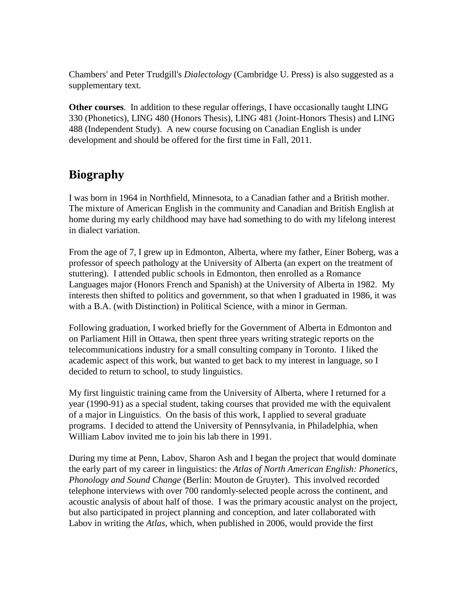Chambers' and Peter Trudgill's *Dialectology* (Cambridge U. Press) is also suggested as a supplementary text.

**Other courses**. In addition to these regular offerings, I have occasionally taught LING 330 (Phonetics), LING 480 (Honors Thesis), LING 481 (Joint-Honors Thesis) and LING 488 (Independent Study). A new course focusing on Canadian English is under development and should be offered for the first time in Fall, 2011.

# <span id="page-4-0"></span>**Biography**

I was born in 1964 in Northfield, Minnesota, to a Canadian father and a British mother. The mixture of American English in the community and Canadian and British English at home during my early childhood may have had something to do with my lifelong interest in dialect variation.

From the age of 7, I grew up in Edmonton, Alberta, where my father, Einer Boberg, was a professor of speech pathology at the University of Alberta (an expert on the treatment of stuttering). I attended public schools in Edmonton, then enrolled as a Romance Languages major (Honors French and Spanish) at the University of Alberta in 1982. My interests then shifted to politics and government, so that when I graduated in 1986, it was with a B.A. (with Distinction) in Political Science, with a minor in German.

Following graduation, I worked briefly for the Government of Alberta in Edmonton and on Parliament Hill in Ottawa, then spent three years writing strategic reports on the telecommunications industry for a small consulting company in Toronto. I liked the academic aspect of this work, but wanted to get back to my interest in language, so I decided to return to school, to study linguistics.

My first linguistic training came from the University of Alberta, where I returned for a year (1990-91) as a special student, taking courses that provided me with the equivalent of a major in Linguistics. On the basis of this work, I applied to several graduate programs. I decided to attend the University of Pennsylvania, in Philadelphia, when William Labov invited me to join his lab there in 1991.

During my time at Penn, Labov, Sharon Ash and I began the project that would dominate the early part of my career in linguistics: the *Atlas of North American English: Phonetics, Phonology and Sound Change* (Berlin: Mouton de Gruyter). This involved recorded telephone interviews with over 700 randomly-selected people across the continent, and acoustic analysis of about half of those. I was the primary acoustic analyst on the project, but also participated in project planning and conception, and later collaborated with Labov in writing the *Atlas*, which, when published in 2006, would provide the first